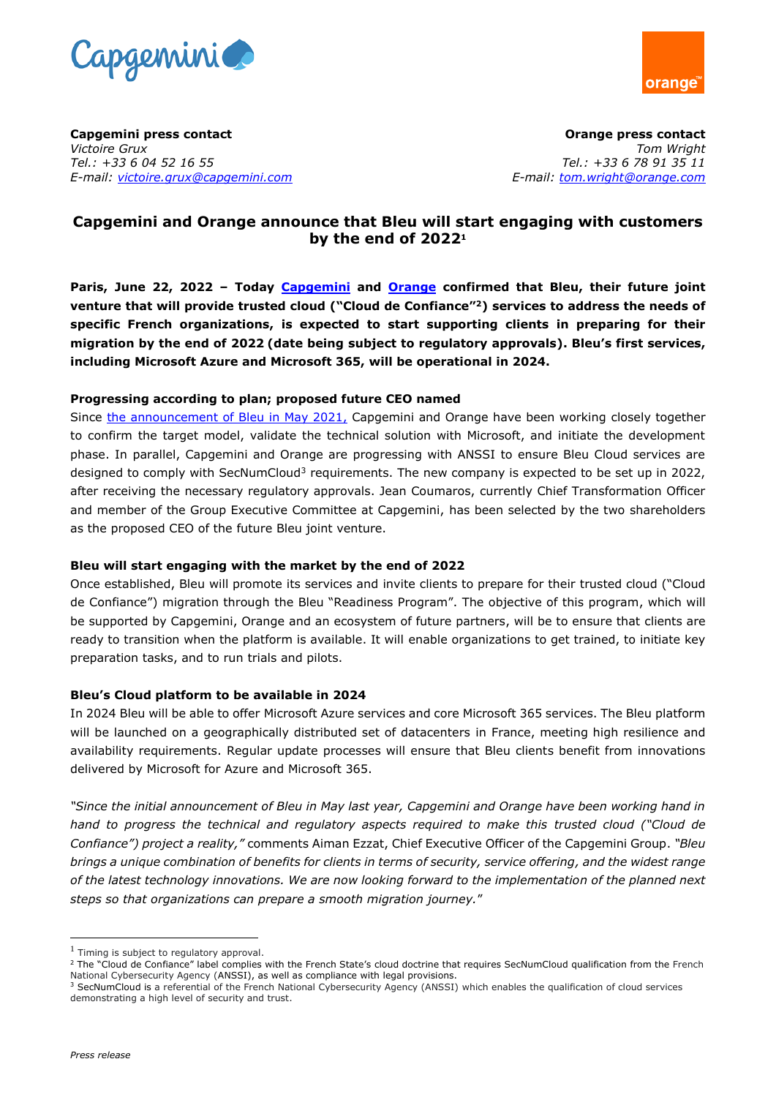



**Capgemini press contact**  *Victoire Grux Tel.: +33 6 04 52 16 55 E-mail: [victoire.grux@capgemini.com](mailto:victoire.grux@capgemini.com)*

**Orange press contact**  *Tom Wright Tel.: +33 6 78 91 35 11 E-mail: [tom.wright@orange.com](mailto:tom.wright@orange.com)* 

# **Capgemini and Orange announce that Bleu will start engaging with customers by the end of 2022<sup>1</sup>**

**Paris, June 22, 2022 – Today [Capgemini](http://www.capgemini.com/) and [Orange](https://www.orange.com/en) confirmed that Bleu, their future joint venture that will provide trusted cloud ("Cloud de Confiance"<sup>2</sup>) services to address the needs of specific French organizations, is expected to start supporting clients in preparing for their migration by the end of 2022 (date being subject to regulatory approvals). Bleu's first services, including Microsoft Azure and Microsoft 365, will be operational in 2024.** 

## **Progressing according to plan; proposed future CEO named**

Since [the announcement of Bleu in May 2021,](https://www.capgemini.com/news/capgemini-and-orange-announce-plan-to-create-bleu-a-company-to-provide-a-cloud-de-confiance-in-france/) Capgemini and Orange have been working closely together to confirm the target model, validate the technical solution with Microsoft, and initiate the development phase. In parallel, Capgemini and Orange are progressing with ANSSI to ensure Bleu Cloud services are designed to comply with SecNumCloud<sup>3</sup> requirements. The new company is expected to be set up in 2022, after receiving the necessary regulatory approvals. Jean Coumaros, currently Chief Transformation Officer and member of the Group Executive Committee at Capgemini, has been selected by the two shareholders as the proposed CEO of the future Bleu joint venture.

## **Bleu will start engaging with the market by the end of 2022**

Once established, Bleu will promote its services and invite clients to prepare for their trusted cloud ("Cloud de Confiance") migration through the Bleu "Readiness Program". The objective of this program, which will be supported by Capgemini, Orange and an ecosystem of future partners, will be to ensure that clients are ready to transition when the platform is available. It will enable organizations to get trained, to initiate key preparation tasks, and to run trials and pilots.

## **Bleu's Cloud platform to be available in 2024**

In 2024 Bleu will be able to offer Microsoft Azure services and core Microsoft 365 services. The Bleu platform will be launched on a geographically distributed set of datacenters in France, meeting high resilience and availability requirements. Regular update processes will ensure that Bleu clients benefit from innovations delivered by Microsoft for Azure and Microsoft 365.

*"Since the initial announcement of Bleu in May last year, Capgemini and Orange have been working hand in hand to progress the technical and regulatory aspects required to make this trusted cloud ("Cloud de Confiance") project a reality,"* comments Aiman Ezzat, Chief Executive Officer of the Capgemini Group. *"Bleu brings a unique combination of benefits for clients in terms of security, service offering, and the widest range of the latest technology innovations. We are now looking forward to the implementation of the planned next steps so that organizations can prepare a smooth migration journey.*"

 $<sup>1</sup>$  Timing is subject to regulatory approval.</sup>

<sup>&</sup>lt;sup>2</sup> The "Cloud de Confiance" label complies with the French State's cloud doctrine that requires SecNumCloud qualification from the French National Cybersecurity Agency (ANSSI), as well as compliance with legal provisions.

<sup>&</sup>lt;sup>3</sup> SecNumCloud is a referential of the French National Cybersecurity Agency (ANSSI) which enables the qualification of cloud services demonstrating a high level of security and trust.